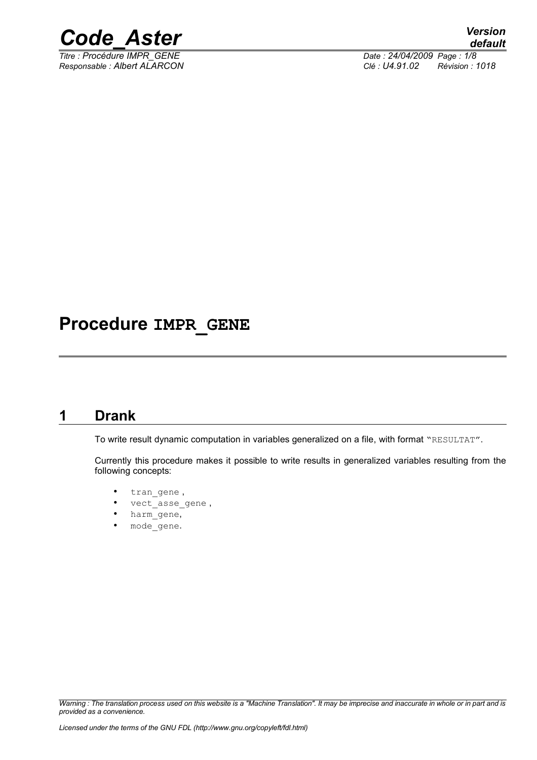

*Titre : Procédure IMPR\_GENE Date : 24/04/2009 Page : 1/8 Responsable : Albert ALARCON Clé : U4.91.02 Révision : 1018*

# **Procedure IMPR\_GENE**

### **1 Drank**

To write result dynamic computation in variables generalized on a file, with format "RESULTAT".

Currently this procedure makes it possible to write results in generalized variables resulting from the following concepts:

- tran\_gene ,
- vect asse\_gene,
- harm\_gene,
- mode gene.

*Warning : The translation process used on this website is a "Machine Translation". It may be imprecise and inaccurate in whole or in part and is provided as a convenience.*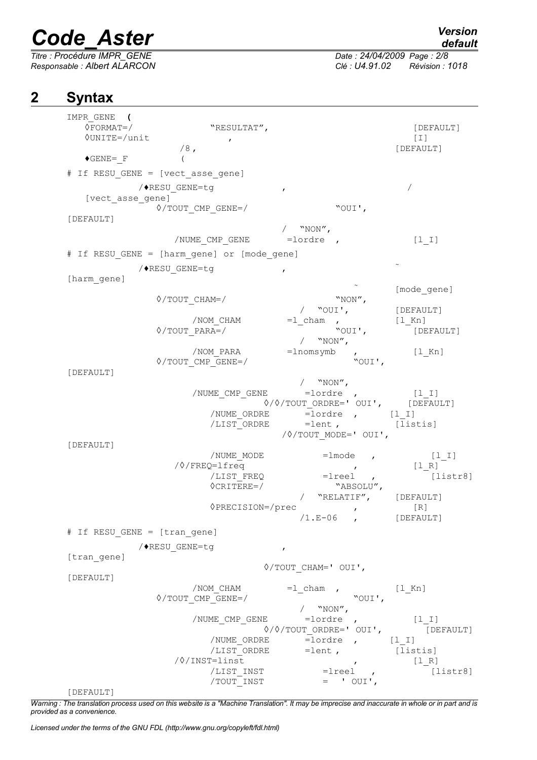*Responsable : Albert ALARCON Clé : U4.91.02 Révision : 1018*

*Titre : Procédure IMPR\_GENE Date : 24/04/2009 Page : 2/8*

## **2 Syntax**

| IMPR GENE (<br>$\Diamond$ FORMAT=/<br><b>OUNITE=/unit</b> | "RESULTAT",<br>$\pmb{r}$                    |                                                                             | [DEFAULT]<br>$[1]$  |
|-----------------------------------------------------------|---------------------------------------------|-----------------------------------------------------------------------------|---------------------|
|                                                           | $/8$ ,                                      |                                                                             | [DEFAULT]           |
| $\blacklozenge$ GENE= F                                   | $\left($                                    |                                                                             |                     |
|                                                           | # If RESU GENE = [vect asse gene]           |                                                                             |                     |
| [vect asse gene]                                          | /◆RESU GENE=tg                              | $\mathbf{r}$                                                                | $\sqrt{2}$          |
|                                                           | $\Diamond$ /TOUT CMP GENE=/                 | "OUI',                                                                      |                     |
| [DEFAULT]                                                 |                                             |                                                                             |                     |
|                                                           | /NUME CMP GENE                              | / $``NON''$ ,<br>$=$ lordre,                                                | $[1  I]$            |
|                                                           | # If RESU GENE = [harm gene] or [mode gene] |                                                                             |                     |
|                                                           |                                             |                                                                             |                     |
| [harm gene]                                               | /◆RESU GENE=tg                              | $\mathbf{r}$                                                                |                     |
|                                                           |                                             |                                                                             | [mode gene]         |
|                                                           | $\Diamond$ /TOUT CHAM=/                     | "NON",                                                                      |                     |
|                                                           | /NOM CHAM                                   | / "OUI',<br>$=1$ cham                                                       | [DEFAULT]<br>[l Kn] |
|                                                           | $\Diamond$ /TOUT PARA=/                     | "OUI',                                                                      | [DEFAULT]           |
|                                                           |                                             | / $``NON''$ ,                                                               |                     |
|                                                           | /NOM PARA                                   | $=$ lnomsymb<br>$\mathbf{r}$                                                | [l Kn]              |
| [DEFAULT]                                                 | $\Diamond$ /TOUT CMP GENE=/                 | "OUI',                                                                      |                     |
|                                                           |                                             | / $``NON''$ ,                                                               |                     |
|                                                           |                                             | /NUME CMP GENE = lordre , [1 I]                                             |                     |
|                                                           |                                             | $\sqrt{2}/\sqrt{2}$ ORDRE=' OUI', [DEFAULT]<br>/NUME_ORDRE = lordre , [1 I] |                     |
|                                                           |                                             | /LIST ORDRE = lent, [listis]                                                |                     |
|                                                           |                                             | $\sqrt{2}/T$ OUT MODE=' OUI',                                               |                     |
| [DEFAULT]                                                 | /NUME MODE                                  |                                                                             |                     |
|                                                           | /0/FREQ=lfreq                               | $=$ lmode,<br>$\mathcal{L} = \mathcal{L}$                                   | $[1 1]$<br>[1 R]    |
|                                                           | /LIST FREQ                                  | $=$ $1$ reel ,                                                              | [listr8]            |
|                                                           | $\Diamond$ CRITERE=/                        | "ABSOLU",                                                                   |                     |
|                                                           | ◊PRECISION=/prec                            | "RELATIF", [DEFAULT]                                                        | $[ R ]$             |
|                                                           |                                             | $\mathbf{r}$<br>$/1.E-06$ , [DEFAULT]                                       |                     |
| # If RESU GENE = [tran gene]                              |                                             |                                                                             |                     |
|                                                           | /◆RESU GENE=tg                              | $\pmb{r}$                                                                   |                     |
| [tran gene]                                               |                                             |                                                                             |                     |
|                                                           |                                             | $\Diamond$ /TOUT CHAM=' OUI',                                               |                     |
| [DEFAULT]                                                 | /NOM CHAM                                   | $=1$ _cham ,                                                                | $[1_Kn]$            |
|                                                           | $\Diamond$ /TOUT CMP GENE=/                 | "OUI',                                                                      |                     |
|                                                           |                                             | / $``NON''$ ,                                                               |                     |
|                                                           |                                             | /NUME CMP GENE = lordre ,                                                   | $[1 I]$             |
|                                                           | /NUME ORDRE                                 | $\Diamond/\Diamond/\mathrm{TOUT}$ ordre=' oui',<br>$=$ lordre , $[1_1]$     | [DEFAULT]           |
|                                                           | /LIST ORDRE                                 | $=$ lent,                                                                   | [listis]            |
|                                                           | /0/INST=linst                               | $\mathcal{L}$                                                               | $[1 R]$             |
|                                                           | /LIST INST<br>TOUT INST                     | $=$ $1$ reel $\prime$<br>$=$ ' OUI',                                        | [liststr8]          |
| [DEFAULT]                                                 |                                             |                                                                             |                     |

*Warning : The translation process used on this website is a "Machine Translation". It may be imprecise and inaccurate in whole or in part and is provided as a convenience.*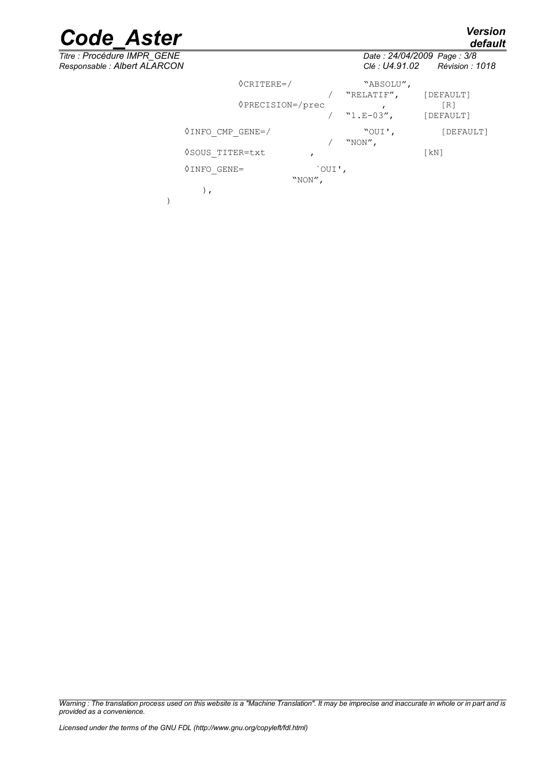*default*



)

*Titre : Procédure IMPR\_GENE Date : 24/04/2009 Page : 3/8 Responsable : Albert ALARCON Clé : U4.91.02 Révision : 1018* ◊CRITERE=/ "ABSOLU", / "RELATIF", [DEFAULT] ◊PRECISION=/prec , [R] [DEFAULT] ◊INFO\_CMP\_GENE=/ "OUI', [DEFAULT] / "NON", ◊SOUS\_TITER=txt , [kN] ◊INFO\_GENE= `OUI', "NON", ),

*Warning : The translation process used on this website is a "Machine Translation". It may be imprecise and inaccurate in whole or in part and is provided as a convenience.*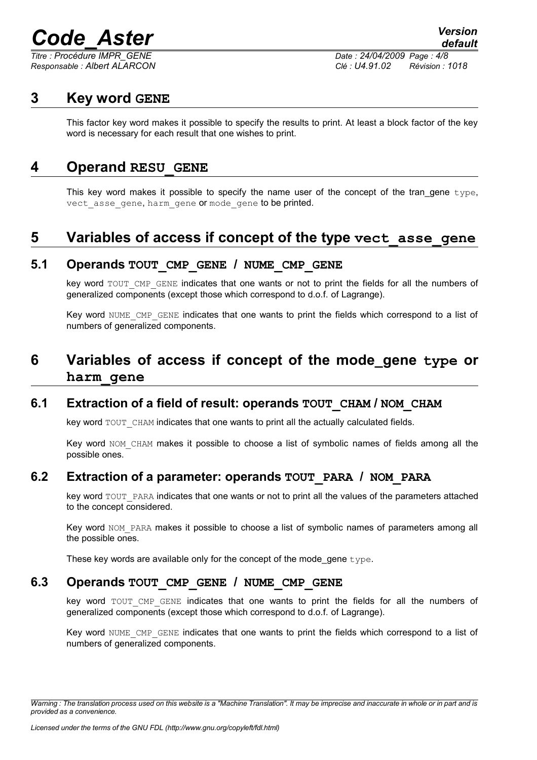*Titre : Procédure IMPR\_GENE Date : 24/04/2009 Page : 4/8 Responsable : Albert ALARCON Clé : U4.91.02 Révision : 1018*

### **3 Key word GENE**

This factor key word makes it possible to specify the results to print. At least a block factor of the key word is necessary for each result that one wishes to print.

### **4 Operand RESU\_GENE**

This key word makes it possible to specify the name user of the concept of the tran gene type, vect asse gene, harm gene or mode gene to be printed.

# **5 Variables of access if concept of the type vect\_asse\_gene**

### **5.1 Operands TOUT\_CMP\_GENE / NUME\_CMP\_GENE**

key word TOUT CMP GENE indicates that one wants or not to print the fields for all the numbers of generalized components (except those which correspond to d.o.f. of Lagrange).

Key word NUME CMP GENE indicates that one wants to print the fields which correspond to a list of numbers of generalized components.

# **6 Variables of access if concept of the mode\_gene type or harm\_gene**

### **6.1 Extraction of a field of result: operands TOUT\_CHAM / NOM\_CHAM**

key word TOUT CHAM indicates that one wants to print all the actually calculated fields.

Key word NOM CHAM makes it possible to choose a list of symbolic names of fields among all the possible ones.

### **6.2 Extraction of a parameter: operands TOUT\_PARA / NOM\_PARA**

key word TOUT\_PARA indicates that one wants or not to print all the values of the parameters attached to the concept considered.

Key word NOM PARA makes it possible to choose a list of symbolic names of parameters among all the possible ones.

These key words are available only for the concept of the mode gene type.

### **6.3 Operands TOUT\_CMP\_GENE / NUME\_CMP\_GENE**

key word TOUT CMP GENE indicates that one wants to print the fields for all the numbers of generalized components (except those which correspond to d.o.f. of Lagrange).

Key word NUME CMP GENE indicates that one wants to print the fields which correspond to a list of numbers of generalized components.

*Warning : The translation process used on this website is a "Machine Translation". It may be imprecise and inaccurate in whole or in part and is provided as a convenience.*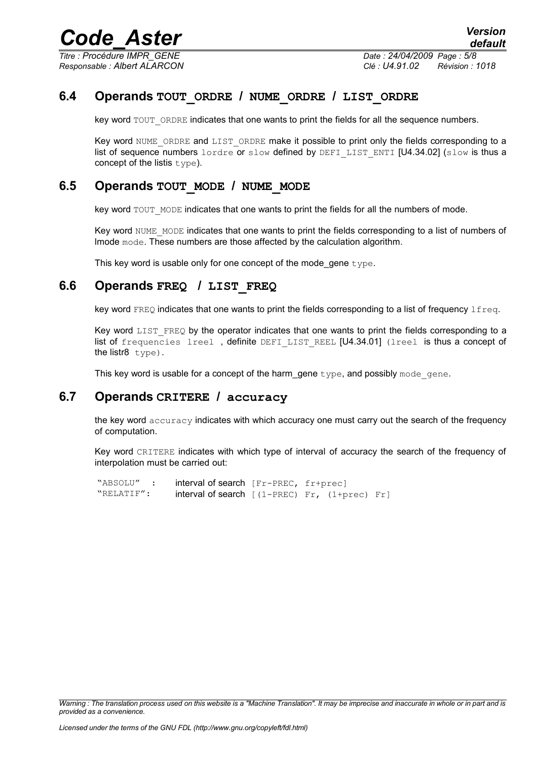*Titre : Procédure IMPR\_GENE Date : 24/04/2009 Page : 5/8*

*Responsable : Albert ALARCON Clé : U4.91.02 Révision : 1018*

### **6.4 Operands TOUT\_ORDRE / NUME\_ORDRE / LIST\_ORDRE**

key word TOUT ORDRE indicates that one wants to print the fields for all the sequence numbers.

Key word NUME ORDRE and LIST ORDRE make it possible to print only the fields corresponding to a list of sequence numbers lordre or slow defined by DEFILIST ENTI  $[U4.34.02]$  (slow is thus a concept of the listis type).

### **6.5 Operands TOUT\_MODE / NUME\_MODE**

key word TOUT MODE indicates that one wants to print the fields for all the numbers of mode.

Key word NUME\_MODE indicates that one wants to print the fields corresponding to a list of numbers of lmode mode. These numbers are those affected by the calculation algorithm.

This key word is usable only for one concept of the mode gene  $type$ .

### **6.6 Operands FREQ / LIST\_FREQ**

key word FREQ indicates that one wants to print the fields corresponding to a list of frequency lfreq.

Key word LIST FREQ by the operator indicates that one wants to print the fields corresponding to a list of frequencies lreel, definite DEFI LIST REEL [U4.34.01] (lreel is thus a concept of the listr8 type).

This key word is usable for a concept of the harm gene type, and possibly mode gene.

#### **6.7 Operands CRITERE / accuracy**

the key word accuracy indicates with which accuracy one must carry out the search of the frequency of computation.

Key word CRITERE indicates with which type of interval of accuracy the search of the frequency of interpolation must be carried out:

```
"ABSOLU" : interval of search [Fr-PREC, fr+prec]
"RELATIF": interval of search [(1-PREC) Fr, (1+prec) Fr]
```
*Warning : The translation process used on this website is a "Machine Translation". It may be imprecise and inaccurate in whole or in part and is provided as a convenience.*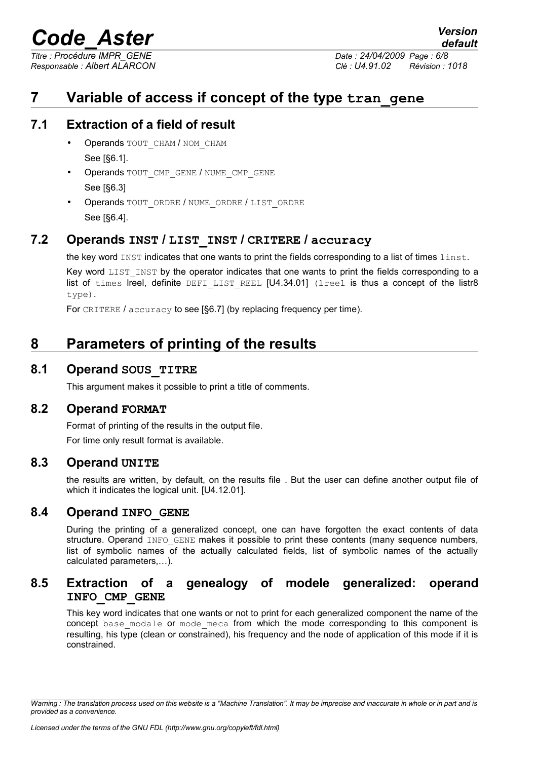*Titre : Procédure IMPR\_GENE Date : 24/04/2009 Page : 6/8*

*Responsable : Albert ALARCON Clé : U4.91.02 Révision : 1018*

*default*

# **7 Variable of access if concept of the type tran\_gene**

### **7.1 Extraction of a field of result**

- Operands TOUT CHAM / NOM CHAM See [§6.1].
- Operands TOUT\_CMP\_GENE / NUME\_CMP\_GENE See [§6.3]
- Operands TOUT\_ORDRE / NUME\_ORDRE / LIST\_ORDRE See [§6.4].

### **7.2 Operands INST / LIST\_INST / CRITERE / accuracy**

the key word INST indicates that one wants to print the fields corresponding to a list of times linst.

Key word LIST INST by the operator indicates that one wants to print the fields corresponding to a list of times lreel, definite DEFILIST REEL  $[U4.34.01]$  (lreel is thus a concept of the listr8 type).

For CRITERE / accuracy to see [§6.7] (by replacing frequency per time).

# **8 Parameters of printing of the results**

### **8.1 Operand SOUS\_TITRE**

This argument makes it possible to print a title of comments.

#### **8.2 Operand FORMAT**

Format of printing of the results in the output file. For time only result format is available.

### **8.3 Operand UNITE**

the results are written, by default, on the results file . But the user can define another output file of which it indicates the logical unit. [U4.12.01].

### **8.4 Operand INFO\_GENE**

During the printing of a generalized concept, one can have forgotten the exact contents of data structure. Operand INFO GENE makes it possible to print these contents (many sequence numbers, list of symbolic names of the actually calculated fields, list of symbolic names of the actually calculated parameters,…).

### **8.5 Extraction of a genealogy of modele generalized: operand INFO\_CMP\_GENE**

This key word indicates that one wants or not to print for each generalized component the name of the concept base modale or mode meca from which the mode corresponding to this component is resulting, his type (clean or constrained), his frequency and the node of application of this mode if it is constrained.

*Warning : The translation process used on this website is a "Machine Translation". It may be imprecise and inaccurate in whole or in part and is provided as a convenience.*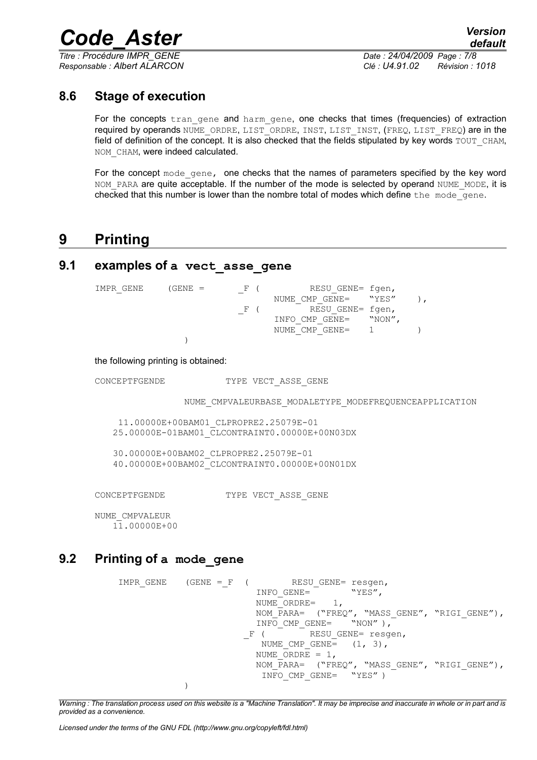*Titre : Procédure IMPR\_GENE Date : 24/04/2009 Page : 7/8*

*Responsable : Albert ALARCON Clé : U4.91.02 Révision : 1018*

### **8.6 Stage of execution**

For the concepts tran gene and harm gene, one checks that times (frequencies) of extraction required by operands NUME\_ORDRE, LIST\_ORDRE, INST, LIST\_INST, (FREQ, LIST\_FREQ) are in the field of definition of the concept. It is also checked that the fields stipulated by key words TOUT\_CHAM, NOM CHAM, were indeed calculated.

For the concept mode gene, one checks that the names of parameters specified by the key word NOM PARA are quite acceptable. If the number of the mode is selected by operand NUME\_MODE, it is checked that this number is lower than the nombre total of modes which define the mode\_gene.

## **9 Printing**

### **9.1 examples of a vect\_asse\_gene**

 $IMPR_GENE$  (GENE =  $F$  ( RESUGENE= fgen, NUME CMP GENE=  $WYES"$  ), F ( RESU GENE= fgen, INFO CMP GENE= "NON", NUME<sup>CMP</sup>GENE= 1 ) )

the following printing is obtained:

CONCEPTFGENDE TYPE VECT ASSE GENE

NUME\_CMPVALEURBASE\_MODALETYPE\_MODEFREQUENCEAPPLICATION

11.00000E+00BAM01\_CLPROPRE2.25079E-01 25.00000E-01BAM01\_CLCONTRAINT0.00000E+00N03DX

30.00000E+00BAM02\_CLPROPRE2.25079E-01 40.00000E+00BAM02\_CLCONTRAINT0.00000E+00N01DX

CONCEPTFGENDE TYPE VECT ASSE GENE

NUME\_CMPVALEUR 11.00000E+00

### **9.2 Printing of a mode\_gene**

```
IMPR GENE (GENE = F ( RESU GENE= resgen,
                               INFO_GENE= NUME WYES",
                               NUME_ORDRE=
                               NOM_PARA= ("FREQ", "MASS_GENE", "RIGI_GENE"),<br>INFO CMP GENE= "NON"),
                            \begin{array}{c}\n\text{INFO\_CMP\_GENE=}\n-F & \text{RESU}\n\end{array}RESU GENE= resgen,
                                NUME CMP GENE= (1, 3),
                               NUME ORDE = 1,
                               NOM_PARA= ("FREQ", "MASS GENE", "RIGI GENE"),
                                INFO CMP GENE= "YES" )
               \lambda
```
*Warning : The translation process used on this website is a "Machine Translation". It may be imprecise and inaccurate in whole or in part and is provided as a convenience.*